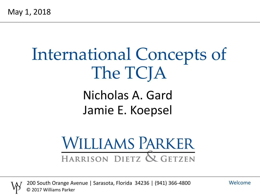# International Concepts of The TCJA

# Nicholas A. Gard Jamie E. Koepsel

# **WILLIAMS PARKER** HARRISON DIETZ & GETZEN



200 South Orange Avenue | Sarasota, Florida 34236 | (941) 366-4800 © 2017 Williams Parker

Welcome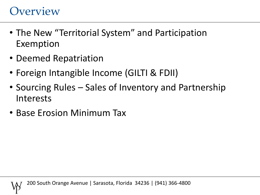#### **Overview**

- The New "Territorial System" and Participation Exemption
- Deemed Repatriation
- Foreign Intangible Income (GILTI & FDII)
- Sourcing Rules Sales of Inventory and Partnership Interests
- Base Erosion Minimum Tax

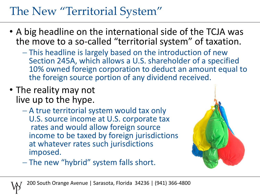# The New "Territorial System"

- A big headline on the international side of the TCJA was the move to a so-called "territorial system" of taxation.
	- This headline is largely based on the introduction of new Section 245A, which allows a U.S. shareholder of a specified 10% owned foreign corporation to deduct an amount equal to the foreign source portion of any dividend received.
- The reality may not live up to the hype.
	- A true territorial system would tax only U.S. source income at U.S. corporate tax rates and would allow foreign source income to be taxed by foreign jurisdictions at whatever rates such jurisdictions imposed.



- The new "hybrid" system falls short.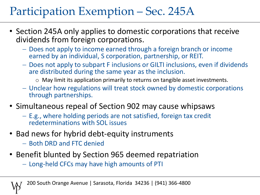# Participation Exemption – Sec. 245A

- Section 245A only applies to domestic corporations that receive dividends from foreign corporations.
	- Does not apply to income earned through a foreign branch or income earned by an individual, S corporation, partnership, or REIT.
	- Does not apply to subpart F inclusions or GILTI inclusions, even if dividends are distributed during the same year as the inclusion.
		- o May limit its application primarily to returns on tangible asset investments.
	- Unclear how regulations will treat stock owned by domestic corporations through partnerships.
- Simultaneous repeal of Section 902 may cause whipsaws
	- E.g., where holding periods are not satisfied, foreign tax credit redeterminations with SOL issues
- Bad news for hybrid debt-equity instruments
	- Both DRD and FTC denied
- Benefit blunted by Section 965 deemed repatriation
	- Long-held CFCs may have high amounts of PTI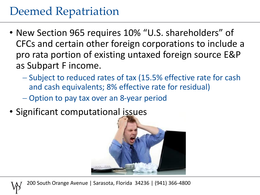## Deemed Repatriation

- New Section 965 requires 10% "U.S. shareholders" of CFCs and certain other foreign corporations to include a pro rata portion of existing untaxed foreign source E&P as Subpart F income.
	- Subject to reduced rates of tax (15.5% effective rate for cash and cash equivalents; 8% effective rate for residual)
	- Option to pay tax over an 8-year period
- Significant computational issues



200 South Orange Avenue | Sarasota, Florida 34236 | (941) 366-4800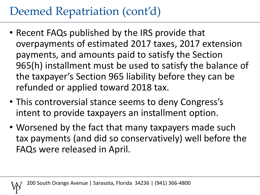# Deemed Repatriation (cont'd)

- Recent FAQs published by the IRS provide that overpayments of estimated 2017 taxes, 2017 extension payments, and amounts paid to satisfy the Section 965(h) installment must be used to satisfy the balance of the taxpayer's Section 965 liability before they can be refunded or applied toward 2018 tax.
- This controversial stance seems to deny Congress's intent to provide taxpayers an installment option.
- Worsened by the fact that many taxpayers made such tax payments (and did so conservatively) well before the FAQs were released in April.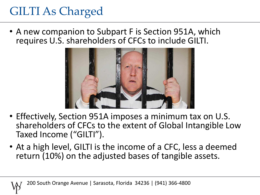# GILTI As Charged

• A new companion to Subpart F is Section 951A, which requires U.S. shareholders of CFCs to include GILTI.



- Effectively, Section 951A imposes a minimum tax on U.S. shareholders of CFCs to the extent of Global Intangible Low Taxed Income ("GILTI").
- At a high level, GILTI is the income of a CFC, less a deemed return (10%) on the adjusted bases of tangible assets.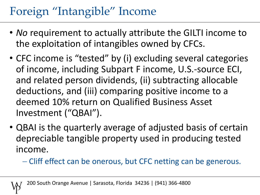# Foreign "Intangible" Income

- *No* requirement to actually attribute the GILTI income to the exploitation of intangibles owned by CFCs.
- CFC income is "tested" by (i) excluding several categories of income, including Subpart F income, U.S.-source ECI, and related person dividends, (ii) subtracting allocable deductions, and (iii) comparing positive income to a deemed 10% return on Qualified Business Asset Investment ("QBAI").
- QBAI is the quarterly average of adjusted basis of certain depreciable tangible property used in producing tested income.
	- Cliff effect can be onerous, but CFC netting can be generous.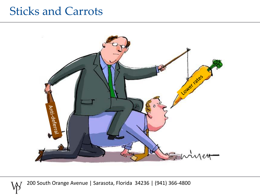#### Sticks and Carrots

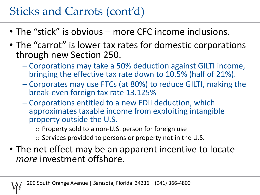# Sticks and Carrots (cont'd)

- The "stick" is obvious more CFC income inclusions.
- The "carrot" is lower tax rates for domestic corporations through new Section 250.
	- Corporations may take a 50% deduction against GILTI income, bringing the effective tax rate down to 10.5% (half of 21%).
	- Corporates may use FTCs (at 80%) to reduce GILTI, making the break-even foreign tax rate 13.125%
	- Corporations entitled to a new FDII deduction, which approximates taxable income from exploiting intangible property outside the U.S.
		- o Property sold to a non-U.S. person for foreign use
		- o Services provided to persons or property not in the U.S.
- The net effect may be an apparent incentive to locate *more* investment offshore.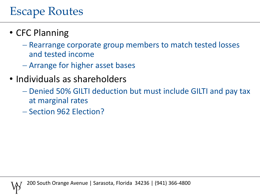# Escape Routes

#### • CFC Planning

- Rearrange corporate group members to match tested losses and tested income
- Arrange for higher asset bases
- Individuals as shareholders
	- Denied 50% GILTI deduction but must include GILTI and pay tax at marginal rates
	- Section 962 Election?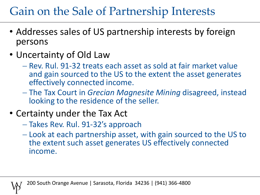# Gain on the Sale of Partnership Interests

- Addresses sales of US partnership interests by foreign persons
- Uncertainty of Old Law
	- Rev. Rul. 91-32 treats each asset as sold at fair market value and gain sourced to the US to the extent the asset generates effectively connected income.
	- The Tax Court in *Grecian Magnesite Mining* disagreed, instead looking to the residence of the seller.
- Certainty under the Tax Act
	- Takes Rev. Rul. 91-32's approach
	- Look at each partnership asset, with gain sourced to the US to the extent such asset generates US effectively connected income.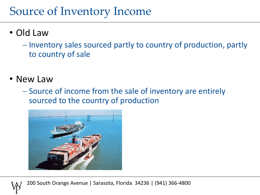## Source of Inventory Income

- Old Law
	- $-$  Inventory sales sourced partly to country of production, partly to country of sale
- New Law
	- Source of income from the sale of inventory are entirely sourced to the country of production

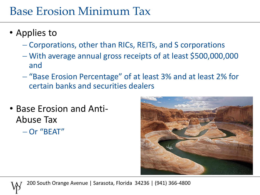#### Base Erosion Minimum Tax

- Applies to
	- Corporations, other than RICs, REITs, and S corporations
	- With average annual gross receipts of at least \$500,000,000 and
	- "Base Erosion Percentage" of at least 3% and at least 2% for certain banks and securities dealers
- Base Erosion and Anti-Abuse Tax Or "BEAT"





200 South Orange Avenue | Sarasota, Florida 34236 | (941) 366-4800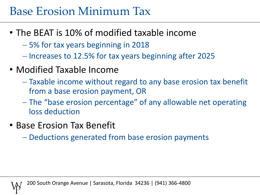## Base Erosion Minimum Tax

- The BEAT is 10% of modified taxable income
	- 5% for tax years beginning in 2018
	- Increases to 12.5% for tax years beginning after 2025
- Modified Taxable Income
	- Taxable income without regard to any base erosion tax benefit from a base erosion payment, OR
	- The "base erosion percentage" of any allowable net operating loss deduction
- Base Erosion Tax Benefit
	- Deductions generated from base erosion payments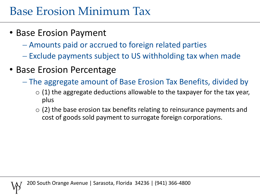## Base Erosion Minimum Tax

- Base Erosion Payment
	- Amounts paid or accrued to foreign related parties
	- Exclude payments subject to US withholding tax when made
- Base Erosion Percentage
	- The aggregate amount of Base Erosion Tax Benefits, divided by
		- $\circ$  (1) the aggregate deductions allowable to the taxpayer for the tax year, plus
		- $\circ$  (2) the base erosion tax benefits relating to reinsurance payments and cost of goods sold payment to surrogate foreign corporations.

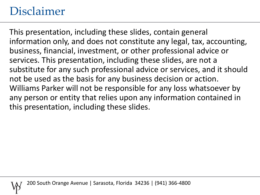### Disclaimer

This presentation, including these slides, contain general information only, and does not constitute any legal, tax, accounting, business, financial, investment, or other professional advice or services. This presentation, including these slides, are not a substitute for any such professional advice or services, and it should not be used as the basis for any business decision or action. Williams Parker will not be responsible for any loss whatsoever by any person or entity that relies upon any information contained in this presentation, including these slides.